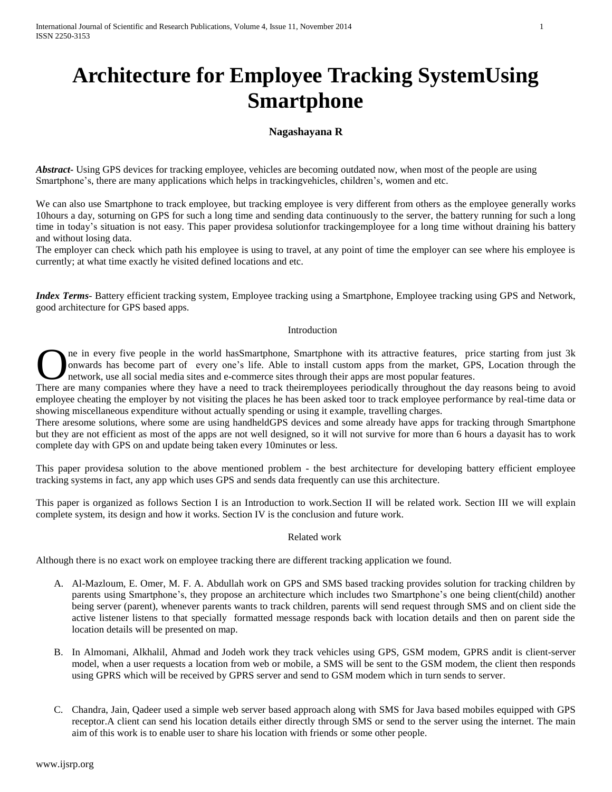# **Architecture for Employee Tracking SystemUsing Smartphone**

# **Nagashayana R**

*Abstract***-** Using GPS devices for tracking employee, vehicles are becoming outdated now, when most of the people are using Smartphone's, there are many applications which helps in trackingvehicles, children's, women and etc.

We can also use Smartphone to track employee, but tracking employee is very different from others as the employee generally works 10hours a day, soturning on GPS for such a long time and sending data continuously to the server, the battery running for such a long time in today's situation is not easy. This paper providesa solutionfor trackingemployee for a long time without draining his battery and without losing data.

The employer can check which path his employee is using to travel, at any point of time the employer can see where his employee is currently; at what time exactly he visited defined locations and etc.

*Index Terms*- Battery efficient tracking system, Employee tracking using a Smartphone, Employee tracking using GPS and Network, good architecture for GPS based apps.

### Introduction

ne in every five people in the world hasSmartphone, Smartphone with its attractive features, price starting from just 3k onwards has become part of every one's life. Able to install custom apps from the market, GPS, Location through the network, use all social media sites and e-commerce sites through their apps are most popular features. There are many companies where they have a need to track theiremployees periodically throughout the day reasons being to avoid There are many companies where they have a need to track theiremployees periodically throughout

employee cheating the employer by not visiting the places he has been asked toor to track employee performance by real-time data or showing miscellaneous expenditure without actually spending or using it example, travelling charges.

There aresome solutions, where some are using handheldGPS devices and some already have apps for tracking through Smartphone but they are not efficient as most of the apps are not well designed, so it will not survive for more than 6 hours a dayasit has to work complete day with GPS on and update being taken every 10minutes or less.

This paper providesa solution to the above mentioned problem - the best architecture for developing battery efficient employee tracking systems in fact, any app which uses GPS and sends data frequently can use this architecture.

This paper is organized as follows Section I is an Introduction to work.Section II will be related work. Section III we will explain complete system, its design and how it works. Section IV is the conclusion and future work.

### Related work

Although there is no exact work on employee tracking there are different tracking application we found.

- A. Al-Mazloum, E. Omer, M. F. A. Abdullah work on GPS and SMS based tracking provides solution for tracking children by parents using Smartphone's, they propose an architecture which includes two Smartphone's one being client(child) another being server (parent), whenever parents wants to track children, parents will send request through SMS and on client side the active listener listens to that specially formatted message responds back with location details and then on parent side the location details will be presented on map.
- B. In Almomani, Alkhalil, Ahmad and Jodeh work they track vehicles using GPS, GSM modem, GPRS andit is client-server model, when a user requests a location from web or mobile, a SMS will be sent to the GSM modem, the client then responds using GPRS which will be received by GPRS server and send to GSM modem which in turn sends to server.
- C. Chandra, Jain, Qadeer used a simple web server based approach along with SMS for Java based mobiles equipped with GPS receptor.A client can send his location details either directly through SMS or send to the server using the internet. The main aim of this work is to enable user to share his location with friends or some other people.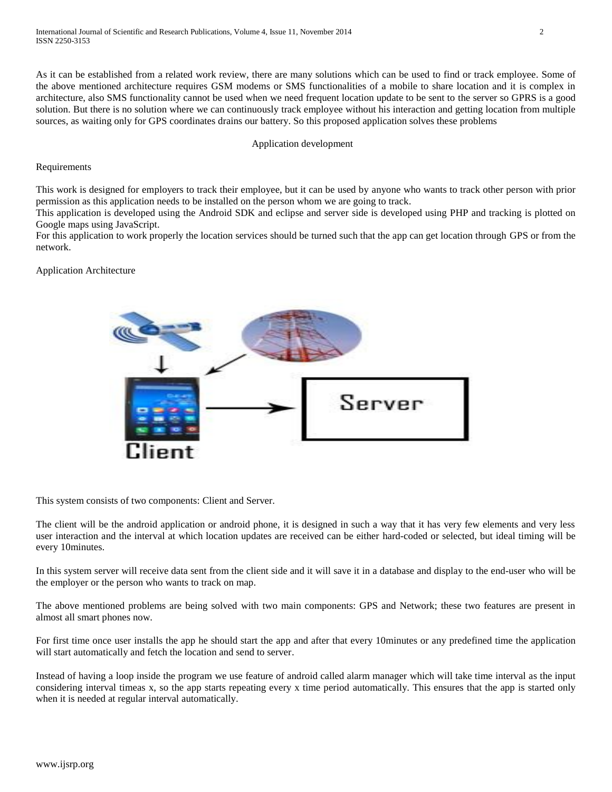As it can be established from a related work review, there are many solutions which can be used to find or track employee. Some of the above mentioned architecture requires GSM modems or SMS functionalities of a mobile to share location and it is complex in architecture, also SMS functionality cannot be used when we need frequent location update to be sent to the server so GPRS is a good solution. But there is no solution where we can continuously track employee without his interaction and getting location from multiple sources, as waiting only for GPS coordinates drains our battery. So this proposed application solves these problems

### Application development

## Requirements

This work is designed for employers to track their employee, but it can be used by anyone who wants to track other person with prior permission as this application needs to be installed on the person whom we are going to track.

This application is developed using the Android SDK and eclipse and server side is developed using PHP and tracking is plotted on Google maps using JavaScript.

For this application to work properly the location services should be turned such that the app can get location through GPS or from the network.

# Application Architecture



This system consists of two components: Client and Server.

The client will be the android application or android phone, it is designed in such a way that it has very few elements and very less user interaction and the interval at which location updates are received can be either hard-coded or selected, but ideal timing will be every 10minutes.

In this system server will receive data sent from the client side and it will save it in a database and display to the end-user who will be the employer or the person who wants to track on map.

The above mentioned problems are being solved with two main components: GPS and Network; these two features are present in almost all smart phones now.

For first time once user installs the app he should start the app and after that every 10minutes or any predefined time the application will start automatically and fetch the location and send to server.

Instead of having a loop inside the program we use feature of android called alarm manager which will take time interval as the input considering interval timeas x, so the app starts repeating every x time period automatically. This ensures that the app is started only when it is needed at regular interval automatically.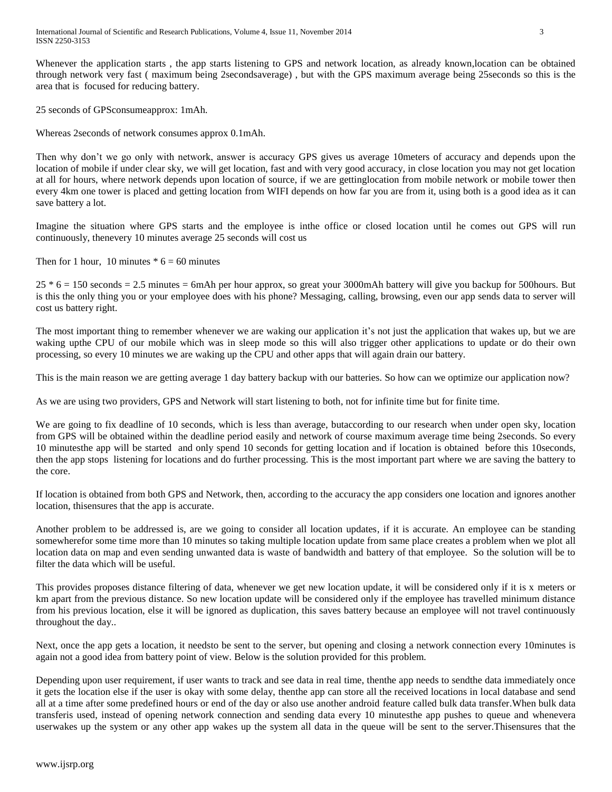Whenever the application starts , the app starts listening to GPS and network location, as already known,location can be obtained through network very fast ( maximum being 2secondsaverage) , but with the GPS maximum average being 25seconds so this is the area that is focused for reducing battery.

25 seconds of GPSconsumeapprox: 1mAh.

Whereas 2seconds of network consumes approx 0.1mAh.

Then why don't we go only with network, answer is accuracy GPS gives us average 10meters of accuracy and depends upon the location of mobile if under clear sky, we will get location, fast and with very good accuracy, in close location you may not get location at all for hours, where network depends upon location of source, if we are gettinglocation from mobile network or mobile tower then every 4km one tower is placed and getting location from WIFI depends on how far you are from it, using both is a good idea as it can save battery a lot.

Imagine the situation where GPS starts and the employee is inthe office or closed location until he comes out GPS will run continuously, thenevery 10 minutes average 25 seconds will cost us

Then for 1 hour, 10 minutes  $* 6 = 60$  minutes

25 \* 6 = 150 seconds = 2.5 minutes = 6mAh per hour approx, so great your 3000mAh battery will give you backup for 500hours. But is this the only thing you or your employee does with his phone? Messaging, calling, browsing, even our app sends data to server will cost us battery right.

The most important thing to remember whenever we are waking our application it's not just the application that wakes up, but we are waking upthe CPU of our mobile which was in sleep mode so this will also trigger other applications to update or do their own processing, so every 10 minutes we are waking up the CPU and other apps that will again drain our battery.

This is the main reason we are getting average 1 day battery backup with our batteries. So how can we optimize our application now?

As we are using two providers, GPS and Network will start listening to both, not for infinite time but for finite time.

We are going to fix deadline of 10 seconds, which is less than average, butaccording to our research when under open sky, location from GPS will be obtained within the deadline period easily and network of course maximum average time being 2seconds. So every 10 minutesthe app will be started and only spend 10 seconds for getting location and if location is obtained before this 10seconds, then the app stops listening for locations and do further processing. This is the most important part where we are saving the battery to the core.

If location is obtained from both GPS and Network, then, according to the accuracy the app considers one location and ignores another location, thisensures that the app is accurate.

Another problem to be addressed is, are we going to consider all location updates, if it is accurate. An employee can be standing somewherefor some time more than 10 minutes so taking multiple location update from same place creates a problem when we plot all location data on map and even sending unwanted data is waste of bandwidth and battery of that employee. So the solution will be to filter the data which will be useful.

This provides proposes distance filtering of data, whenever we get new location update, it will be considered only if it is x meters or km apart from the previous distance. So new location update will be considered only if the employee has travelled minimum distance from his previous location, else it will be ignored as duplication, this saves battery because an employee will not travel continuously throughout the day..

Next, once the app gets a location, it needsto be sent to the server, but opening and closing a network connection every 10minutes is again not a good idea from battery point of view. Below is the solution provided for this problem.

Depending upon user requirement, if user wants to track and see data in real time, thenthe app needs to sendthe data immediately once it gets the location else if the user is okay with some delay, thenthe app can store all the received locations in local database and send all at a time after some predefined hours or end of the day or also use another android feature called bulk data transfer.When bulk data transferis used, instead of opening network connection and sending data every 10 minutesthe app pushes to queue and whenevera userwakes up the system or any other app wakes up the system all data in the queue will be sent to the server.Thisensures that the